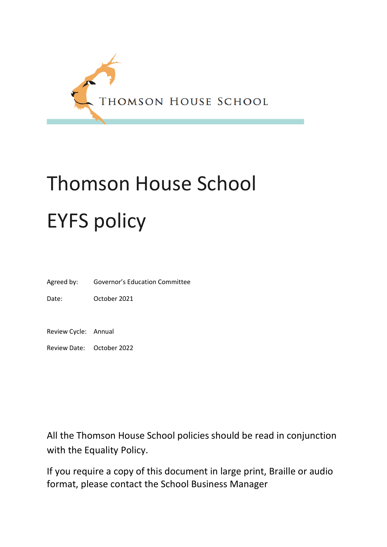

# Thomson House School EYFS policy

Agreed by: Governor's Education Committee

Date: October 2021

Review Cycle: Annual

Review Date: October 2022

All the Thomson House School policies should be read in conjunction with the Equality Policy.

If you require a copy of this document in large print, Braille or audio format, please contact the School Business Manager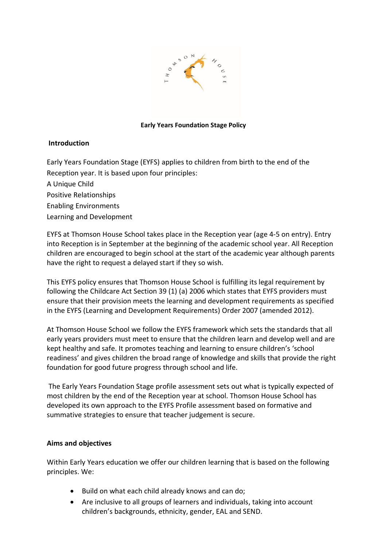

#### **Early Years Foundation Stage Policy**

## **Introduction**

Early Years Foundation Stage (EYFS) applies to children from birth to the end of the Reception year. It is based upon four principles:

A Unique Child

Positive Relationships

Enabling Environments

Learning and Development

EYFS at Thomson House School takes place in the Reception year (age 4-5 on entry). Entry into Reception is in September at the beginning of the academic school year. All Reception children are encouraged to begin school at the start of the academic year although parents have the right to request a delayed start if they so wish.

This EYFS policy ensures that Thomson House School is fulfilling its legal requirement by following the Childcare Act Section 39 (1) (a) 2006 which states that EYFS providers must ensure that their provision meets the learning and development requirements as specified in the EYFS (Learning and Development Requirements) Order 2007 (amended 2012).

At Thomson House School we follow the EYFS framework which sets the standards that all early years providers must meet to ensure that the children learn and develop well and are kept healthy and safe. It promotes teaching and learning to ensure children's 'school readiness' and gives children the broad range of knowledge and skills that provide the right foundation for good future progress through school and life.

The Early Years Foundation Stage profile assessment sets out what is typically expected of most children by the end of the Reception year at school. Thomson House School has developed its own approach to the EYFS Profile assessment based on formative and summative strategies to ensure that teacher judgement is secure.

## **Aims and objectives**

Within Early Years education we offer our children learning that is based on the following principles. We:

- Build on what each child already knows and can do;
- Are inclusive to all groups of learners and individuals, taking into account children's backgrounds, ethnicity, gender, EAL and SEND.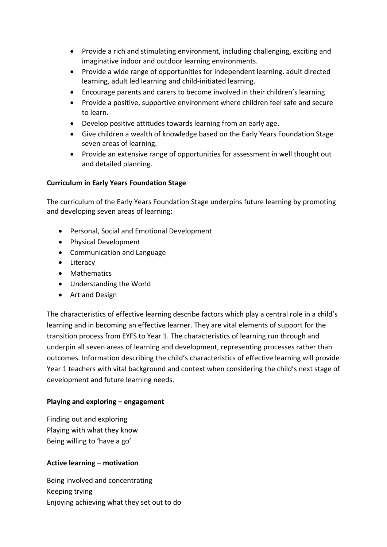- Provide a rich and stimulating environment, including challenging, exciting and imaginative indoor and outdoor learning environments.
- Provide a wide range of opportunities for independent learning, adult directed learning, adult led learning and child-initiated learning.
- Encourage parents and carers to become involved in their children's learning
- Provide a positive, supportive environment where children feel safe and secure to learn.
- Develop positive attitudes towards learning from an early age.
- Give children a wealth of knowledge based on the Early Years Foundation Stage seven areas of learning.
- Provide an extensive range of opportunities for assessment in well thought out and detailed planning.

# **Curriculum in Early Years Foundation Stage**

The curriculum of the Early Years Foundation Stage underpins future learning by promoting and developing seven areas of learning:

- Personal, Social and Emotional Development
- Physical Development
- Communication and Language
- Literacy
- Mathematics
- Understanding the World
- Art and Design

The characteristics of effective learning describe factors which play a central role in a child's learning and in becoming an effective learner. They are vital elements of support for the transition process from EYFS to Year 1. The characteristics of learning run through and underpin all seven areas of learning and development, representing processes rather than outcomes. Information describing the child's characteristics of effective learning will provide Year 1 teachers with vital background and context when considering the child's next stage of development and future learning needs.

# **Playing and exploring – engagement**

Finding out and exploring Playing with what they know Being willing to 'have a go'

# **Active learning – motivation**

Being involved and concentrating Keeping trying Enjoying achieving what they set out to do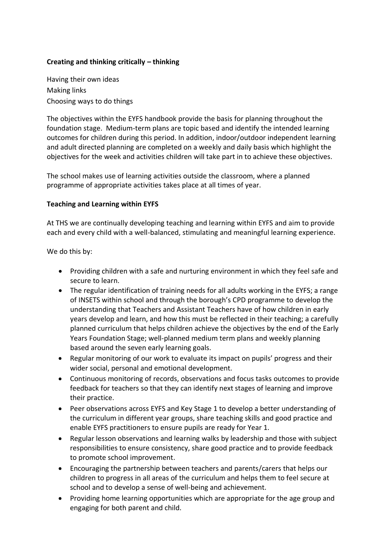# **Creating and thinking critically – thinking**

Having their own ideas Making links Choosing ways to do things

The objectives within the EYFS handbook provide the basis for planning throughout the foundation stage. Medium-term plans are topic based and identify the intended learning outcomes for children during this period. In addition, indoor/outdoor independent learning and adult directed planning are completed on a weekly and daily basis which highlight the objectives for the week and activities children will take part in to achieve these objectives.

The school makes use of learning activities outside the classroom, where a planned programme of appropriate activities takes place at all times of year.

## **Teaching and Learning within EYFS**

At THS we are continually developing teaching and learning within EYFS and aim to provide each and every child with a well-balanced, stimulating and meaningful learning experience.

We do this by:

- Providing children with a safe and nurturing environment in which they feel safe and secure to learn.
- The regular identification of training needs for all adults working in the EYFS; a range of INSETS within school and through the borough's CPD programme to develop the understanding that Teachers and Assistant Teachers have of how children in early years develop and learn, and how this must be reflected in their teaching; a carefully planned curriculum that helps children achieve the objectives by the end of the Early Years Foundation Stage; well-planned medium term plans and weekly planning based around the seven early learning goals.
- Regular monitoring of our work to evaluate its impact on pupils' progress and their wider social, personal and emotional development.
- Continuous monitoring of records, observations and focus tasks outcomes to provide feedback for teachers so that they can identify next stages of learning and improve their practice.
- Peer observations across EYFS and Key Stage 1 to develop a better understanding of the curriculum in different year groups, share teaching skills and good practice and enable EYFS practitioners to ensure pupils are ready for Year 1.
- Regular lesson observations and learning walks by leadership and those with subject responsibilities to ensure consistency, share good practice and to provide feedback to promote school improvement.
- Encouraging the partnership between teachers and parents/carers that helps our children to progress in all areas of the curriculum and helps them to feel secure at school and to develop a sense of well-being and achievement.
- Providing home learning opportunities which are appropriate for the age group and engaging for both parent and child.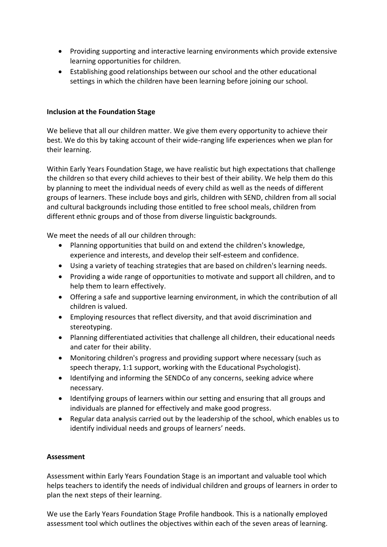- Providing supporting and interactive learning environments which provide extensive learning opportunities for children.
- Establishing good relationships between our school and the other educational settings in which the children have been learning before joining our school.

# **Inclusion at the Foundation Stage**

We believe that all our children matter. We give them every opportunity to achieve their best. We do this by taking account of their wide-ranging life experiences when we plan for their learning.

Within Early Years Foundation Stage, we have realistic but high expectations that challenge the children so that every child achieves to their best of their ability. We help them do this by planning to meet the individual needs of every child as well as the needs of different groups of learners. These include boys and girls, children with SEND, children from all social and cultural backgrounds including those entitled to free school meals, children from different ethnic groups and of those from diverse linguistic backgrounds.

We meet the needs of all our children through:

- Planning opportunities that build on and extend the children's knowledge, experience and interests, and develop their self-esteem and confidence.
- Using a variety of teaching strategies that are based on children's learning needs.
- Providing a wide range of opportunities to motivate and support all children, and to help them to learn effectively.
- Offering a safe and supportive learning environment, in which the contribution of all children is valued.
- Employing resources that reflect diversity, and that avoid discrimination and stereotyping.
- Planning differentiated activities that challenge all children, their educational needs and cater for their ability.
- Monitoring children's progress and providing support where necessary (such as speech therapy, 1:1 support, working with the Educational Psychologist).
- Identifying and informing the SENDCo of any concerns, seeking advice where necessary.
- Identifying groups of learners within our setting and ensuring that all groups and individuals are planned for effectively and make good progress.
- Regular data analysis carried out by the leadership of the school, which enables us to identify individual needs and groups of learners' needs.

## **Assessment**

Assessment within Early Years Foundation Stage is an important and valuable tool which helps teachers to identify the needs of individual children and groups of learners in order to plan the next steps of their learning.

We use the Early Years Foundation Stage Profile handbook. This is a nationally employed assessment tool which outlines the objectives within each of the seven areas of learning.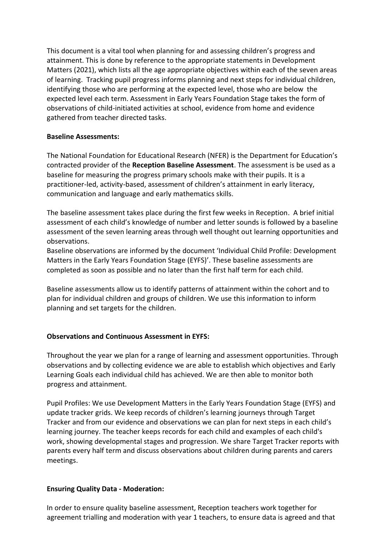This document is a vital tool when planning for and assessing children's progress and attainment. This is done by reference to the appropriate statements in Development Matters (2021), which lists all the age appropriate objectives within each of the seven areas of learning. Tracking pupil progress informs planning and next steps for individual children, identifying those who are performing at the expected level, those who are below the expected level each term. Assessment in Early Years Foundation Stage takes the form of observations of child-initiated activities at school, evidence from home and evidence gathered from teacher directed tasks.

## **Baseline Assessments:**

The National Foundation for Educational Research (NFER) is the Department for Education's contracted provider of the **Reception Baseline Assessment**. The assessment is be used as a baseline for measuring the progress primary schools make with their pupils. It is a practitioner-led, activity-based, assessment of children's attainment in early literacy, communication and language and early mathematics skills.

The baseline assessment takes place during the first few weeks in Reception. A brief initial assessment of each child's knowledge of number and letter sounds is followed by a baseline assessment of the seven learning areas through well thought out learning opportunities and observations.

Baseline observations are informed by the document 'Individual Child Profile: Development Matters in the Early Years Foundation Stage (EYFS)'. These baseline assessments are completed as soon as possible and no later than the first half term for each child.

Baseline assessments allow us to identify patterns of attainment within the cohort and to plan for individual children and groups of children. We use this information to inform planning and set targets for the children.

# **Observations and Continuous Assessment in EYFS:**

Throughout the year we plan for a range of learning and assessment opportunities. Through observations and by collecting evidence we are able to establish which objectives and Early Learning Goals each individual child has achieved. We are then able to monitor both progress and attainment.

Pupil Profiles: We use Development Matters in the Early Years Foundation Stage (EYFS) and update tracker grids. We keep records of children's learning journeys through Target Tracker and from our evidence and observations we can plan for next steps in each child's learning journey. The teacher keeps records for each child and examples of each child's work, showing developmental stages and progression. We share Target Tracker reports with parents every half term and discuss observations about children during parents and carers meetings.

# **Ensuring Quality Data - Moderation:**

In order to ensure quality baseline assessment, Reception teachers work together for agreement trialling and moderation with year 1 teachers, to ensure data is agreed and that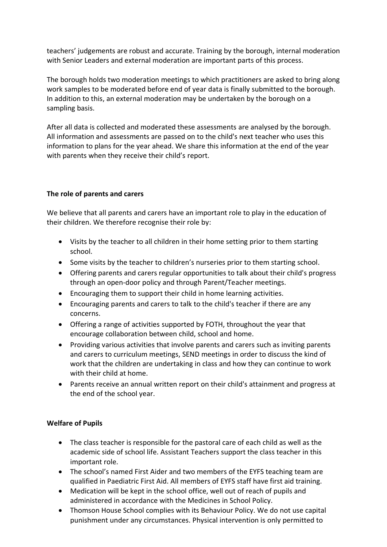teachers' judgements are robust and accurate. Training by the borough, internal moderation with Senior Leaders and external moderation are important parts of this process.

The borough holds two moderation meetings to which practitioners are asked to bring along work samples to be moderated before end of year data is finally submitted to the borough. In addition to this, an external moderation may be undertaken by the borough on a sampling basis.

After all data is collected and moderated these assessments are analysed by the borough. All information and assessments are passed on to the child's next teacher who uses this information to plans for the year ahead. We share this information at the end of the year with parents when they receive their child's report.

# **The role of parents and carers**

We believe that all parents and carers have an important role to play in the education of their children. We therefore recognise their role by:

- Visits by the teacher to all children in their home setting prior to them starting school.
- Some visits by the teacher to children's nurseries prior to them starting school.
- Offering parents and carers regular opportunities to talk about their child's progress through an open-door policy and through Parent/Teacher meetings.
- Encouraging them to support their child in home learning activities.
- Encouraging parents and carers to talk to the child's teacher if there are any concerns.
- Offering a range of activities supported by FOTH, throughout the year that encourage collaboration between child, school and home.
- Providing various activities that involve parents and carers such as inviting parents and carers to curriculum meetings, SEND meetings in order to discuss the kind of work that the children are undertaking in class and how they can continue to work with their child at home.
- Parents receive an annual written report on their child's attainment and progress at the end of the school year.

# **Welfare of Pupils**

- The class teacher is responsible for the pastoral care of each child as well as the academic side of school life. Assistant Teachers support the class teacher in this important role.
- The school's named First Aider and two members of the EYFS teaching team are qualified in Paediatric First Aid. All members of EYFS staff have first aid training.
- Medication will be kept in the school office, well out of reach of pupils and administered in accordance with the Medicines in School Policy.
- Thomson House School complies with its Behaviour Policy. We do not use capital punishment under any circumstances. Physical intervention is only permitted to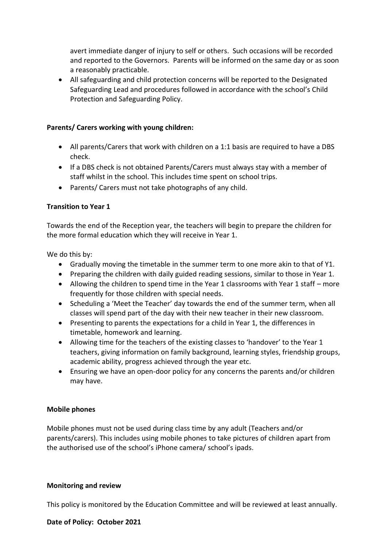avert immediate danger of injury to self or others. Such occasions will be recorded and reported to the Governors. Parents will be informed on the same day or as soon a reasonably practicable.

• All safeguarding and child protection concerns will be reported to the Designated Safeguarding Lead and procedures followed in accordance with the school's Child Protection and Safeguarding Policy.

# **Parents/ Carers working with young children:**

- All parents/Carers that work with children on a 1:1 basis are required to have a DBS check.
- If a DBS check is not obtained Parents/Carers must always stay with a member of staff whilst in the school. This includes time spent on school trips.
- Parents/ Carers must not take photographs of any child.

# **Transition to Year 1**

Towards the end of the Reception year, the teachers will begin to prepare the children for the more formal education which they will receive in Year 1.

We do this by:

- Gradually moving the timetable in the summer term to one more akin to that of Y1.
- Preparing the children with daily guided reading sessions, similar to those in Year 1.
- Allowing the children to spend time in the Year 1 classrooms with Year 1 staff more frequently for those children with special needs.
- Scheduling a 'Meet the Teacher' day towards the end of the summer term, when all classes will spend part of the day with their new teacher in their new classroom.
- Presenting to parents the expectations for a child in Year 1, the differences in timetable, homework and learning.
- Allowing time for the teachers of the existing classes to 'handover' to the Year 1 teachers, giving information on family background, learning styles, friendship groups, academic ability, progress achieved through the year etc.
- Ensuring we have an open-door policy for any concerns the parents and/or children may have.

# **Mobile phones**

Mobile phones must not be used during class time by any adult (Teachers and/or parents/carers). This includes using mobile phones to take pictures of children apart from the authorised use of the school's iPhone camera/ school's ipads.

## **Monitoring and review**

This policy is monitored by the Education Committee and will be reviewed at least annually.

## **Date of Policy: October 2021**